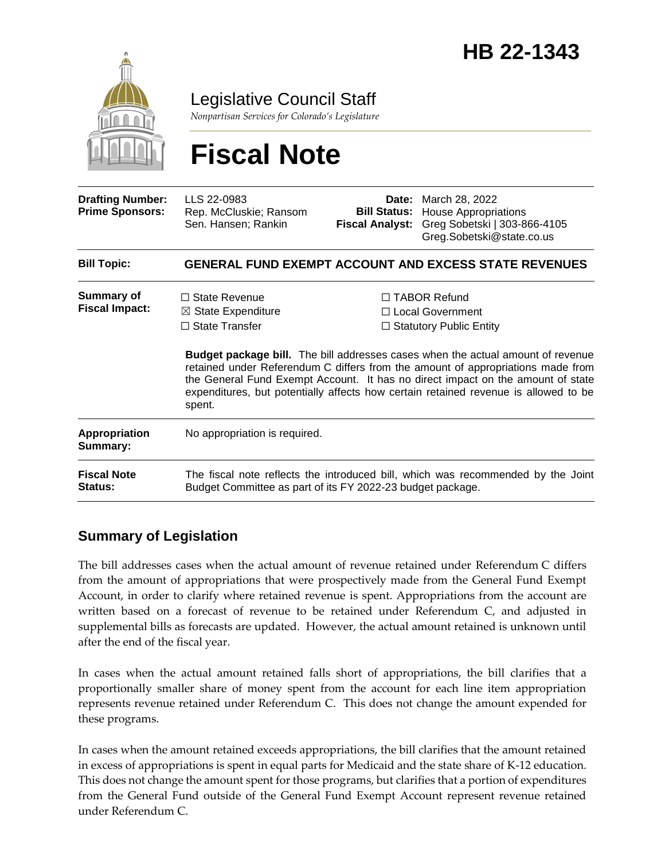

Legislative Council Staff

*Nonpartisan Services for Colorado's Legislature*

# **Fiscal Note**

| <b>Drafting Number:</b><br><b>Prime Sponsors:</b> | LLS 22-0983<br>Rep. McCluskie; Ransom<br>Sen. Hansen; Rankin                                                                                                                                                                                                        | Date:<br><b>Bill Status:</b><br>Fiscal Analyst: | March 28, 2022<br><b>House Appropriations</b><br>Greg Sobetski   303-866-4105<br>Greg.Sobetski@state.co.us                                                            |
|---------------------------------------------------|---------------------------------------------------------------------------------------------------------------------------------------------------------------------------------------------------------------------------------------------------------------------|-------------------------------------------------|-----------------------------------------------------------------------------------------------------------------------------------------------------------------------|
| <b>Bill Topic:</b>                                | <b>GENERAL FUND EXEMPT ACCOUNT AND EXCESS STATE REVENUES</b>                                                                                                                                                                                                        |                                                 |                                                                                                                                                                       |
| <b>Summary of</b><br><b>Fiscal Impact:</b>        | $\Box$ State Revenue<br>$\boxtimes$ State Expenditure<br>$\Box$ State Transfer                                                                                                                                                                                      |                                                 | $\Box$ TABOR Refund<br>□ Local Government<br>$\Box$ Statutory Public Entity<br><b>Budget package bill.</b> The bill addresses cases when the actual amount of revenue |
|                                                   | retained under Referendum C differs from the amount of appropriations made from<br>the General Fund Exempt Account. It has no direct impact on the amount of state<br>expenditures, but potentially affects how certain retained revenue is allowed to be<br>spent. |                                                 |                                                                                                                                                                       |
| <b>Appropriation</b><br>Summary:                  | No appropriation is required.                                                                                                                                                                                                                                       |                                                 |                                                                                                                                                                       |
| <b>Fiscal Note</b><br><b>Status:</b>              | The fiscal note reflects the introduced bill, which was recommended by the Joint<br>Budget Committee as part of its FY 2022-23 budget package.                                                                                                                      |                                                 |                                                                                                                                                                       |

### **Summary of Legislation**

The bill addresses cases when the actual amount of revenue retained under Referendum C differs from the amount of appropriations that were prospectively made from the General Fund Exempt Account, in order to clarify where retained revenue is spent. Appropriations from the account are written based on a forecast of revenue to be retained under Referendum C, and adjusted in supplemental bills as forecasts are updated. However, the actual amount retained is unknown until after the end of the fiscal year.

In cases when the actual amount retained falls short of appropriations, the bill clarifies that a proportionally smaller share of money spent from the account for each line item appropriation represents revenue retained under Referendum C. This does not change the amount expended for these programs.

In cases when the amount retained exceeds appropriations, the bill clarifies that the amount retained in excess of appropriations is spent in equal parts for Medicaid and the state share of K-12 education. This does not change the amount spent for those programs, but clarifies that a portion of expenditures from the General Fund outside of the General Fund Exempt Account represent revenue retained under Referendum C.